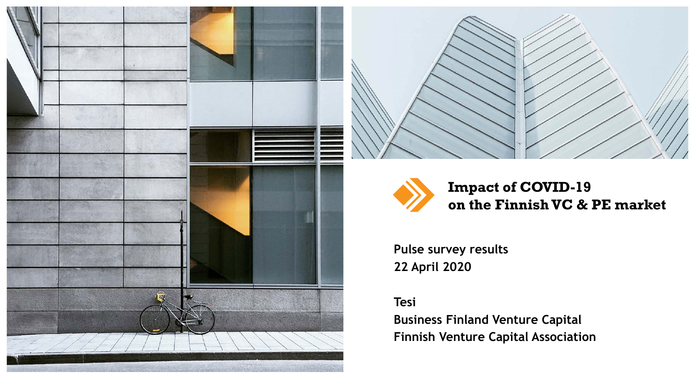





#### **Impact of COVID-19 on the Finnish VC & PE market**

**Pulse survey results 22 April 2020**

#### **Tesi**

**Business Finland Venture Capital Finnish Venture Capital Association**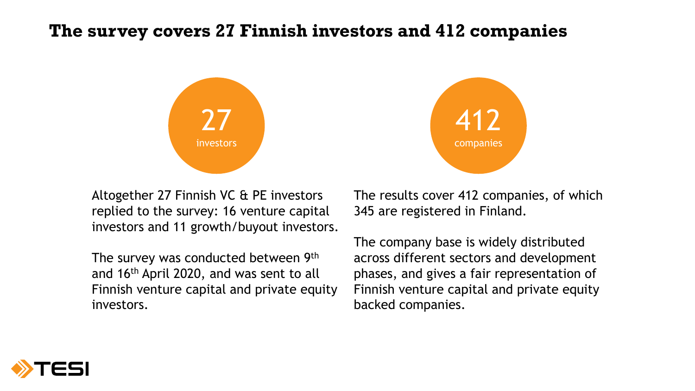#### **The survey covers 27 Finnish investors and 412 companies**



412 companies

Altogether 27 Finnish VC & PE investors replied to the survey: 16 venture capital investors and 11 growth/buyout investors.

The survey was conducted between 9th and 16th April 2020, and was sent to all Finnish venture capital and private equity investors.

The results cover 412 companies, of which 345 are registered in Finland.

The company base is widely distributed across different sectors and development phases, and gives a fair representation of Finnish venture capital and private equity backed companies.

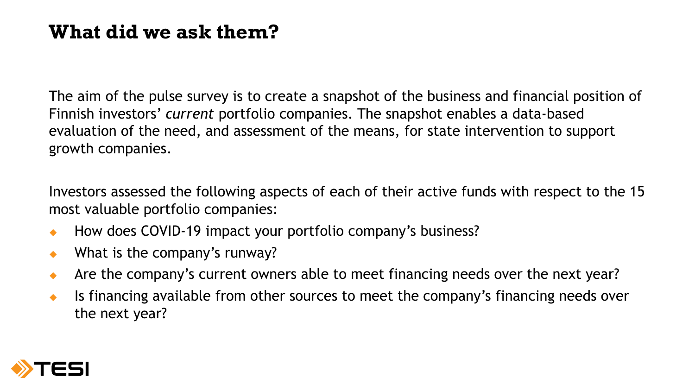# **What did we ask them?**

The aim of the pulse survey is to create a snapshot of the business and financial position of Finnish investors' *current* portfolio companies. The snapshot enables a data-based evaluation of the need, and assessment of the means, for state intervention to support growth companies.

Investors assessed the following aspects of each of their active funds with respect to the 15 most valuable portfolio companies:

- ◆ How does COVID-19 impact your portfolio company's business?
- ◆ What is the company's runway?
- Are the company's current owners able to meet financing needs over the next year?
- $\bullet$  Is financing available from other sources to meet the company's financing needs over the next year?

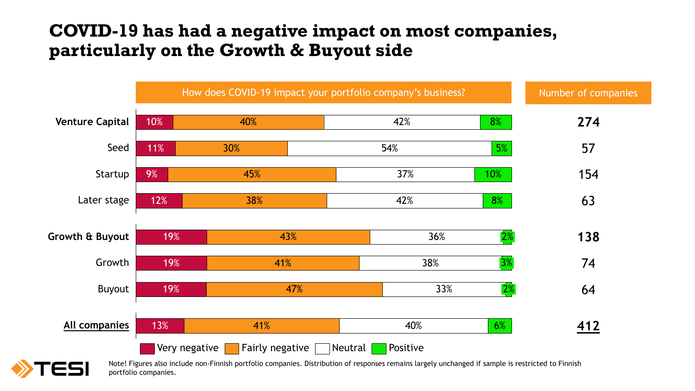#### **COVID-19 has had a negative impact on most companies, particularly on the Growth & Buyout side**



Note! Figures also include non-Finnish portfolio companies. Distribution of responses remains largely unchanged if sample is restricted to Finnish portfolio companies.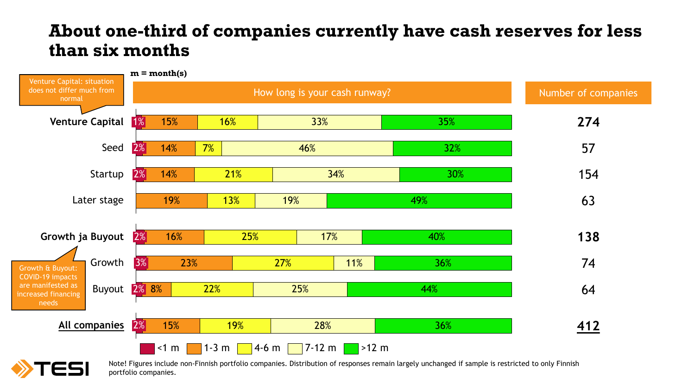#### **About one-third of companies currently have cash reserves for less than six months**





Note! Figures include non-Finnish portfolio companies. Distribution of responses remain largely unchanged if sample is restricted to only Finnish portfolio companies.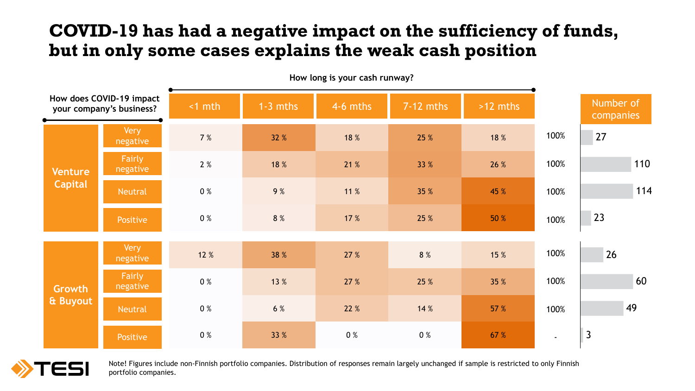### **COVID-19 has had a negative impact on the sufficiency of funds, but in only some cases explains the weak cash position**

| How does COVID-19 impact<br>your company's business? |                         | $< 1$ mth | $1 - 3$ mths | 4-6 mths | $7 - 12$ mths | $>12$ mths |                          | Number of<br>companies |
|------------------------------------------------------|-------------------------|-----------|--------------|----------|---------------|------------|--------------------------|------------------------|
| <b>Venture</b><br><b>Capital</b>                     | <b>Very</b><br>negative | 7 %       | 32 %         | 18 %     | 25 %          | 18 %       | 100%                     | 27                     |
|                                                      | Fairly<br>negative      | 2 %       | 18 %         | 21 %     | 33 %          | 26 %       | 100%                     | 110                    |
|                                                      | <b>Neutral</b>          | 0 %       | 9 %          | 11 %     | 35 %          | 45 %       | 100%                     | 114                    |
|                                                      | Positive                | 0 %       | 8 %          | 17 %     | 25 %          | 50 %       | 100%                     | 23                     |
| <b>Growth</b><br>& Buyout                            | Very<br>negative        | 12 %      | 38 %         | 27 %     | 8 %           | 15 %       | 100%                     | 26                     |
|                                                      | Fairly<br>negative      | 0 %       | 13 %         | 27 %     | 25 %          | 35 %       | 100%                     | 60                     |
|                                                      | Neutral                 | 0 %       | 6 %          | 22 %     | 14 %          | 57 %       | 100%                     | 49                     |
|                                                      | Positive                | 0 %       | 33 %         | 0 %      | 0 %           | 67 %       | $\overline{\phantom{a}}$ | $\overline{3}$         |

**How long is your cash runway?**



Note! Figures include non-Finnish portfolio companies. Distribution of responses remain largely unchanged if sample is restricted to only Finnish portfolio companies.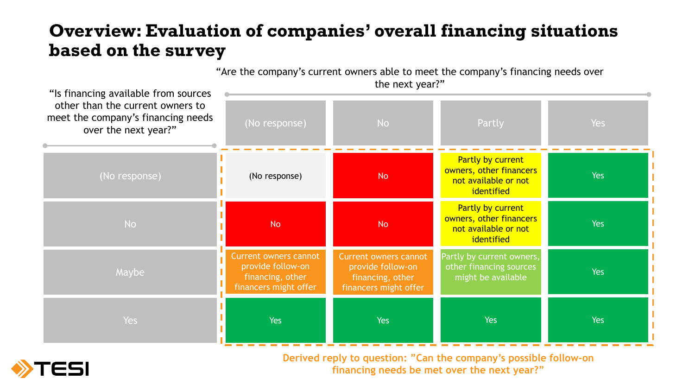## **Overview: Evaluation of companies' overall financing situations based on the survey**

"Are the company's current owners able to meet the company's financing needs over

| "Is financing available from sources                                                           | the next year?"                                                                                |                                                                                                |                                                                                    |            |  |  |  |
|------------------------------------------------------------------------------------------------|------------------------------------------------------------------------------------------------|------------------------------------------------------------------------------------------------|------------------------------------------------------------------------------------|------------|--|--|--|
| other than the current owners to<br>meet the company's financing needs<br>over the next year?" | (No response)                                                                                  | <b>No</b>                                                                                      | Partly                                                                             | <b>Yes</b> |  |  |  |
| (No response)                                                                                  | (No response)                                                                                  | <b>No</b>                                                                                      | Partly by current<br>owners, other financers<br>not available or not<br>identified | <b>Yes</b> |  |  |  |
| <b>No</b>                                                                                      | <b>No</b>                                                                                      | <b>No</b>                                                                                      | Partly by current<br>owners, other financers<br>not available or not<br>identified | <b>Yes</b> |  |  |  |
| Maybe                                                                                          | <b>Current owners cannot</b><br>provide follow-on<br>financing, other<br>financers might offer | <b>Current owners cannot</b><br>provide follow-on<br>financing, other<br>financers might offer | Partly by current owners,<br>other financing sources<br>might be available         | Yes        |  |  |  |
| <b>Yes</b>                                                                                     | <b>Yes</b>                                                                                     | Yes                                                                                            | <b>Yes</b>                                                                         | <b>Yes</b> |  |  |  |



**Derived reply to question: "Can the company's possible follow-on financing needs be met over the next year?"**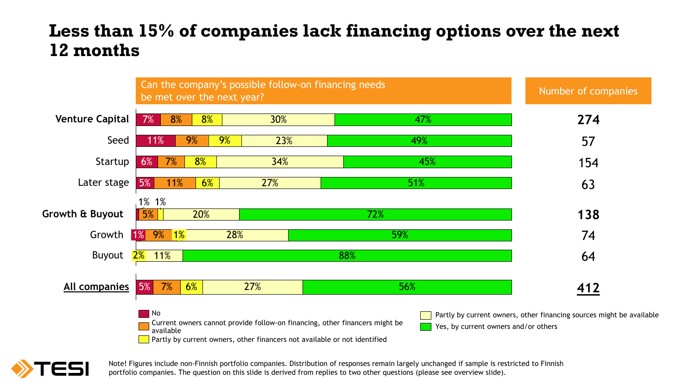#### **Less than 15% of companies lack financing options over the next 12 months**





Note! Figures include non-Finnish portfolio companies. Distribution of responses remain largely unchanged if sample is restricted to Finnish portfolio companies. The question on this slide is derived from replies to two other questions (please see overview slide).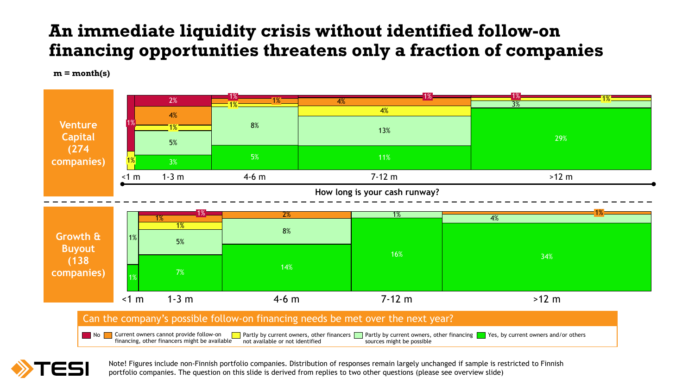## **An immediate liquidity crisis without identified follow-on financing opportunities threatens only a fraction of companies**

**m = month(s)**





Note! Figures include non-Finnish portfolio companies. Distribution of responses remain largely unchanged if sample is restricted to Finnish portfolio companies. The question on this slide is derived from replies to two other questions (please see overview slide)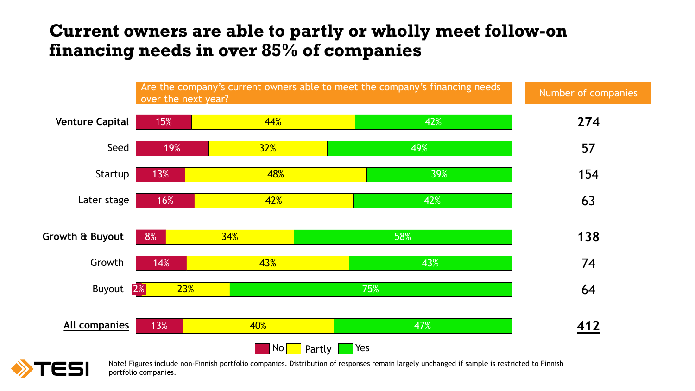#### **Current owners are able to partly or wholly meet follow-on financing needs in over 85% of companies**



Note! Figures include non-Finnish portfolio companies. Distribution of responses remain largely unchanged if sample is restricted to Finnish portfolio companies.